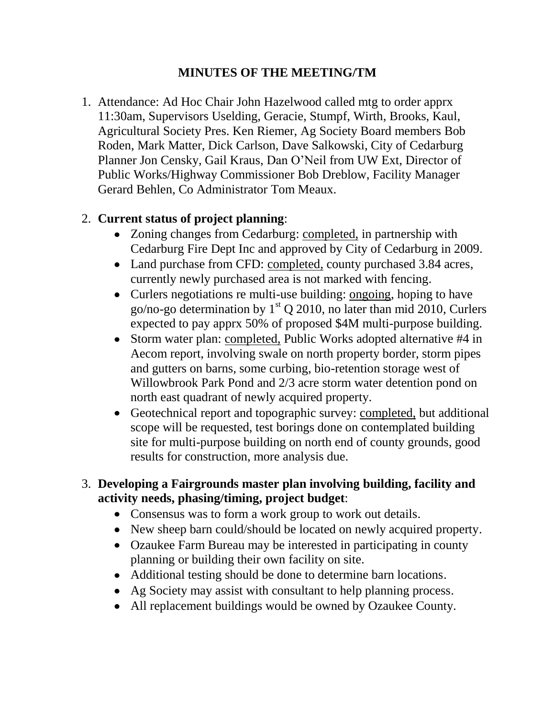### **MINUTES OF THE MEETING/TM**

1. Attendance: Ad Hoc Chair John Hazelwood called mtg to order apprx 11:30am, Supervisors Uselding, Geracie, Stumpf, Wirth, Brooks, Kaul, Agricultural Society Pres. Ken Riemer, Ag Society Board members Bob Roden, Mark Matter, Dick Carlson, Dave Salkowski, City of Cedarburg Planner Jon Censky, Gail Kraus, Dan O'Neil from UW Ext, Director of Public Works/Highway Commissioner Bob Dreblow, Facility Manager Gerard Behlen, Co Administrator Tom Meaux.

#### 2. **Current status of project planning**:

- Zoning changes from Cedarburg: completed, in partnership with Cedarburg Fire Dept Inc and approved by City of Cedarburg in 2009.
- Land purchase from CFD: completed, county purchased 3.84 acres, currently newly purchased area is not marked with fencing.
- Curlers negotiations re multi-use building: ongoing, hoping to have go/no-go determination by  $1<sup>st</sup> Q 2010$ , no later than mid 2010, Curlers expected to pay apprx 50% of proposed \$4M multi-purpose building.
- Storm water plan: completed, Public Works adopted alternative #4 in Aecom report, involving swale on north property border, storm pipes and gutters on barns, some curbing, bio-retention storage west of Willowbrook Park Pond and 2/3 acre storm water detention pond on north east quadrant of newly acquired property.
- Geotechnical report and topographic survey: completed, but additional scope will be requested, test borings done on contemplated building site for multi-purpose building on north end of county grounds, good results for construction, more analysis due.

#### 3. **Developing a Fairgrounds master plan involving building, facility and activity needs, phasing/timing, project budget**:

- Consensus was to form a work group to work out details.
- New sheep barn could/should be located on newly acquired property.
- Ozaukee Farm Bureau may be interested in participating in county planning or building their own facility on site.
- Additional testing should be done to determine barn locations.
- Ag Society may assist with consultant to help planning process.
- All replacement buildings would be owned by Ozaukee County.